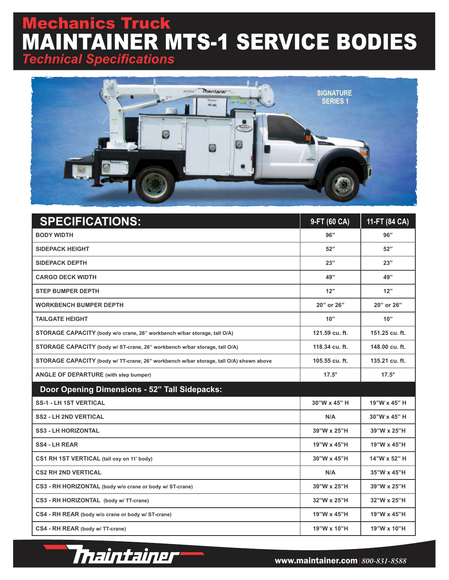## echanics Truck MAINTAINER MTS-1 SERVICE BODIES *Technical Specifications*



| <b>SPECIFICATIONS:</b>                                                                 | 9-FT (60 CA)   | 11-FT (84 CA)  |
|----------------------------------------------------------------------------------------|----------------|----------------|
| <b>BODY WIDTH</b>                                                                      | 96"            | 96"            |
| <b>SIDEPACK HEIGHT</b>                                                                 | 52"            | 52"            |
| <b>SIDEPACK DEPTH</b>                                                                  | 23"            | 23"            |
| <b>CARGO DECK WIDTH</b>                                                                | 49"            | 49"            |
| <b>STEP BUMPER DEPTH</b>                                                               | 12"            | 12"            |
| <b>WORKBENCH BUMPER DEPTH</b>                                                          | 20" or 26"     | 20" or 26"     |
| <b>TAILGATE HEIGHT</b>                                                                 | 10"            | 10"            |
| STORAGE CAPACITY (body w/o crane, 26" workbench w/bar storage, tall O/A)               | 121.59 cu. ft. | 151.25 cu. ft. |
| STORAGE CAPACITY (body w/ ST-crane, 26" workbench w/bar storage, tall O/A)             | 118.34 cu. ft. | 148.00 cu. ft. |
| STORAGE CAPACITY (body w/ TT-crane, 26" workbench w/bar storage, tall O/A) shown above | 105.55 cu. ft. | 135.21 cu. ft. |
| <b>ANGLE OF DEPARTURE</b> (with step bumper)                                           | $17.5^\circ$   | $17.5^\circ$   |
| <b>Door Opening Dimensions - 52" Tall Sidepacks:</b>                                   |                |                |
| <b>SS-1 - LH 1ST VERTICAL</b>                                                          | 30"W x 45" H   | 19"W x 45" H   |
| <b>SS2 - LH 2ND VERTICAL</b>                                                           | N/A            | 30"W x 45" H   |
| <b>SS3 - LH HORIZONTAL</b>                                                             | 39"W x 25"H    | 39"W x 25"H    |
| <b>SS4 - LH REAR</b>                                                                   | 19"W x 45"H    | 19"W x 45"H    |
| CS1 RH 1ST VERTICAL (tall oxy on 11' body)                                             | 30"W x 45"H    | 14"W x 52" H   |
| <b>CS2 RH 2ND VERTICAL</b>                                                             | N/A            | 35"W x 45"H    |
| CS3 - RH HORIZONTAL (body w/o crane or body w/ ST-crane)                               | 39"W x 25"H    | 39"W x 25"H    |
| CS3 - RH HORIZONTAL (body w/ TT-crane)                                                 | 32"W x 25"H    | 32"W x 25"H    |
| CS4 - RH REAR (body w/o crane or body w/ ST-crane)                                     | 19"W x 45"H    | 19"W x 45"H    |
| CS4 - RH REAR (body w/ TT-crane)                                                       | 19"W x 10"H    | 19"W x 10"H    |